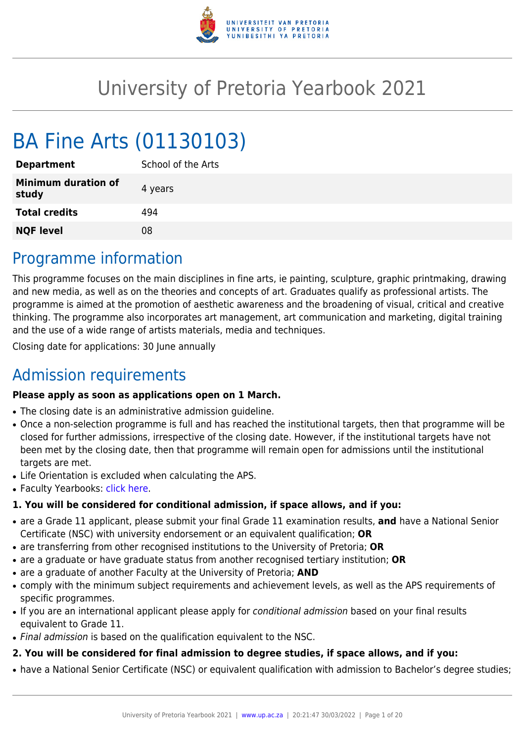

# University of Pretoria Yearbook 2021

# BA Fine Arts (01130103)

| <b>Department</b>                   | School of the Arts |
|-------------------------------------|--------------------|
| <b>Minimum duration of</b><br>study | 4 years            |
| <b>Total credits</b>                | 494                |
| <b>NQF level</b>                    | 08                 |
|                                     |                    |

## Programme information

This programme focuses on the main disciplines in fine arts, ie painting, sculpture, graphic printmaking, drawing and new media, as well as on the theories and concepts of art. Graduates qualify as professional artists. The programme is aimed at the promotion of aesthetic awareness and the broadening of visual, critical and creative thinking. The programme also incorporates art management, art communication and marketing, digital training and the use of a wide range of artists materials, media and techniques.

Closing date for applications: 30 June annually

## Admission requirements

### **Please apply as soon as applications open on 1 March.**

- The closing date is an administrative admission quideline.
- Once a non-selection programme is full and has reached the institutional targets, then that programme will be closed for further admissions, irrespective of the closing date. However, if the institutional targets have not been met by the closing date, then that programme will remain open for admissions until the institutional targets are met.
- Life Orientation is excluded when calculating the APS.
- Faculty Yearbooks: [click here](http://www.up.ac.za/yearbooks/home).

### **1. You will be considered for conditional admission, if space allows, and if you:**

- are a Grade 11 applicant, please submit your final Grade 11 examination results, **and** have a National Senior Certificate (NSC) with university endorsement or an equivalent qualification; **OR**
- are transferring from other recognised institutions to the University of Pretoria; **OR**
- are a graduate or have graduate status from another recognised tertiary institution; **OR**
- are a graduate of another Faculty at the University of Pretoria; **AND**
- comply with the minimum subject requirements and achievement levels, as well as the APS requirements of specific programmes.
- If you are an international applicant please apply for conditional admission based on your final results equivalent to Grade 11.
- Final admission is based on the qualification equivalent to the NSC.

### **2. You will be considered for final admission to degree studies, if space allows, and if you:**

• have a National Senior Certificate (NSC) or equivalent qualification with admission to Bachelor's degree studies;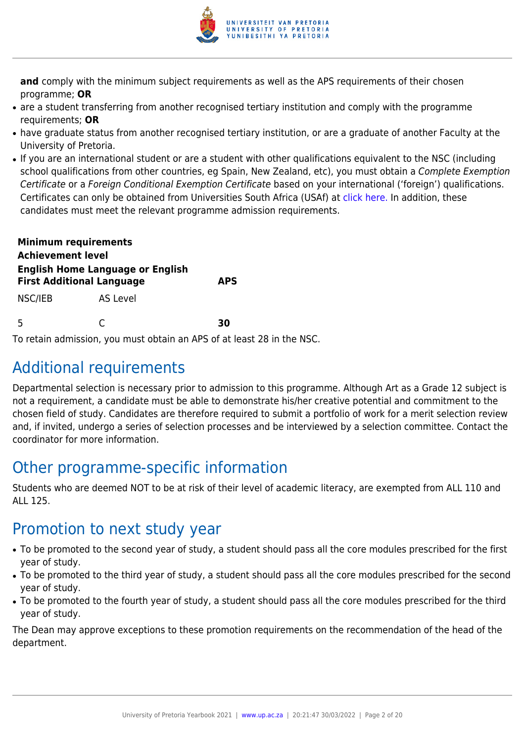

**and** comply with the minimum subject requirements as well as the APS requirements of their chosen programme; **OR**

- are a student transferring from another recognised tertiary institution and comply with the programme requirements; **OR**
- have graduate status from another recognised tertiary institution, or are a graduate of another Faculty at the University of Pretoria.
- If you are an international student or are a student with other qualifications equivalent to the NSC (including school qualifications from other countries, eg Spain, New Zealand, etc), you must obtain a Complete Exemption Certificate or a Foreign Conditional Exemption Certificate based on your international ('foreign') qualifications. Certificates can only be obtained from Universities South Africa (USAf) at [click here](https://mb.usaf.ac.za)[.](http://www.mb.usaf.ac.za/) In addition, these candidates must meet the relevant programme admission requirements.

| <b>Minimum requirements</b><br><b>Achievement level</b>                     |          |            |
|-----------------------------------------------------------------------------|----------|------------|
| <b>English Home Language or English</b><br><b>First Additional Language</b> |          | <b>APS</b> |
| NSC/IEB                                                                     | AS Level |            |
| 5                                                                           |          | 30         |

To retain admission, you must obtain an APS of at least 28 in the NSC.

## Additional requirements

Departmental selection is necessary prior to admission to this programme. Although Art as a Grade 12 subject is not a requirement, a candidate must be able to demonstrate his/her creative potential and commitment to the chosen field of study. Candidates are therefore required to submit a portfolio of work for a merit selection review and, if invited, undergo a series of selection processes and be interviewed by a selection committee. Contact the coordinator for more information.

## Other programme-specific information

Students who are deemed NOT to be at risk of their level of academic literacy, are exempted from ALL 110 and ALL 125.

## Promotion to next study year

- To be promoted to the second year of study, a student should pass all the core modules prescribed for the first year of study.
- To be promoted to the third year of study, a student should pass all the core modules prescribed for the second year of study.
- To be promoted to the fourth year of study, a student should pass all the core modules prescribed for the third year of study.

The Dean may approve exceptions to these promotion requirements on the recommendation of the head of the department.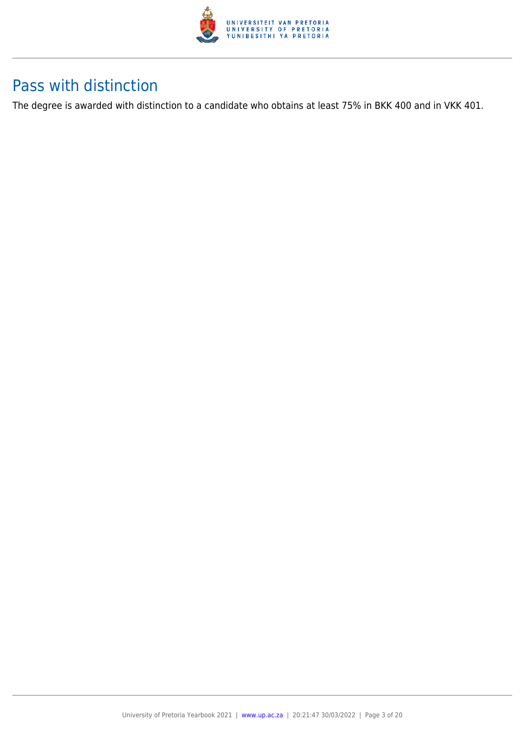

## Pass with distinction

The degree is awarded with distinction to a candidate who obtains at least 75% in BKK 400 and in VKK 401.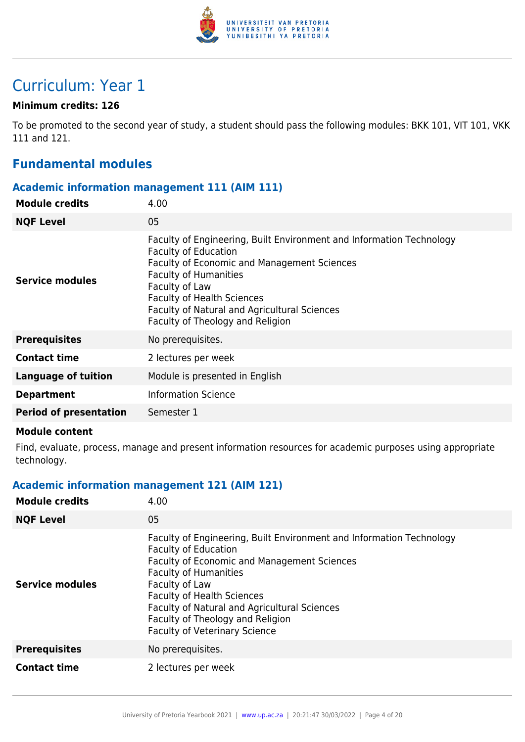

## Curriculum: Year 1

### **Minimum credits: 126**

To be promoted to the second year of study, a student should pass the following modules: BKK 101, VIT 101, VKK 111 and 121.

### **Fundamental modules**

### **Academic information management 111 (AIM 111)**

| <b>Module credits</b>         | 4.00                                                                                                                                                                                                                                                                                                                                 |
|-------------------------------|--------------------------------------------------------------------------------------------------------------------------------------------------------------------------------------------------------------------------------------------------------------------------------------------------------------------------------------|
| <b>NQF Level</b>              | 05                                                                                                                                                                                                                                                                                                                                   |
| Service modules               | Faculty of Engineering, Built Environment and Information Technology<br><b>Faculty of Education</b><br><b>Faculty of Economic and Management Sciences</b><br><b>Faculty of Humanities</b><br>Faculty of Law<br><b>Faculty of Health Sciences</b><br>Faculty of Natural and Agricultural Sciences<br>Faculty of Theology and Religion |
| <b>Prerequisites</b>          | No prerequisites.                                                                                                                                                                                                                                                                                                                    |
| <b>Contact time</b>           | 2 lectures per week                                                                                                                                                                                                                                                                                                                  |
| <b>Language of tuition</b>    | Module is presented in English                                                                                                                                                                                                                                                                                                       |
| <b>Department</b>             | <b>Information Science</b>                                                                                                                                                                                                                                                                                                           |
| <b>Period of presentation</b> | Semester 1                                                                                                                                                                                                                                                                                                                           |
|                               |                                                                                                                                                                                                                                                                                                                                      |

#### **Module content**

Find, evaluate, process, manage and present information resources for academic purposes using appropriate technology.

### **Academic information management 121 (AIM 121)**

| <b>Module credits</b>  | 4.00                                                                                                                                                                                                                                                                                                                                                                         |
|------------------------|------------------------------------------------------------------------------------------------------------------------------------------------------------------------------------------------------------------------------------------------------------------------------------------------------------------------------------------------------------------------------|
| <b>NQF Level</b>       | 05                                                                                                                                                                                                                                                                                                                                                                           |
| <b>Service modules</b> | Faculty of Engineering, Built Environment and Information Technology<br><b>Faculty of Education</b><br><b>Faculty of Economic and Management Sciences</b><br><b>Faculty of Humanities</b><br>Faculty of Law<br><b>Faculty of Health Sciences</b><br>Faculty of Natural and Agricultural Sciences<br>Faculty of Theology and Religion<br><b>Faculty of Veterinary Science</b> |
| <b>Prerequisites</b>   | No prerequisites.                                                                                                                                                                                                                                                                                                                                                            |
| <b>Contact time</b>    | 2 lectures per week                                                                                                                                                                                                                                                                                                                                                          |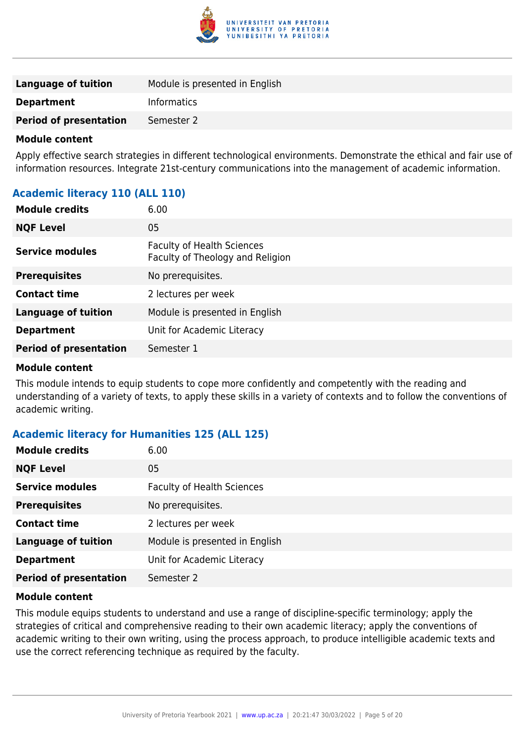

| <b>Language of tuition</b>    | Module is presented in English |
|-------------------------------|--------------------------------|
| <b>Department</b>             | <b>Informatics</b>             |
| <b>Period of presentation</b> | Semester 2                     |

Apply effective search strategies in different technological environments. Demonstrate the ethical and fair use of information resources. Integrate 21st-century communications into the management of academic information.

### **Academic literacy 110 (ALL 110)**

| <b>Module credits</b>         | 6.00                                                                  |
|-------------------------------|-----------------------------------------------------------------------|
| <b>NQF Level</b>              | 05                                                                    |
| Service modules               | <b>Faculty of Health Sciences</b><br>Faculty of Theology and Religion |
| <b>Prerequisites</b>          | No prerequisites.                                                     |
| <b>Contact time</b>           | 2 lectures per week                                                   |
| <b>Language of tuition</b>    | Module is presented in English                                        |
| <b>Department</b>             | Unit for Academic Literacy                                            |
| <b>Period of presentation</b> | Semester 1                                                            |

### **Module content**

This module intends to equip students to cope more confidently and competently with the reading and understanding of a variety of texts, to apply these skills in a variety of contexts and to follow the conventions of academic writing.

### **Academic literacy for Humanities 125 (ALL 125)**

| <b>Module credits</b>         | 6.00                              |
|-------------------------------|-----------------------------------|
| <b>NQF Level</b>              | 05                                |
| <b>Service modules</b>        | <b>Faculty of Health Sciences</b> |
| <b>Prerequisites</b>          | No prerequisites.                 |
| <b>Contact time</b>           | 2 lectures per week               |
| <b>Language of tuition</b>    | Module is presented in English    |
| <b>Department</b>             | Unit for Academic Literacy        |
| <b>Period of presentation</b> | Semester 2                        |

### **Module content**

This module equips students to understand and use a range of discipline-specific terminology; apply the strategies of critical and comprehensive reading to their own academic literacy; apply the conventions of academic writing to their own writing, using the process approach, to produce intelligible academic texts and use the correct referencing technique as required by the faculty.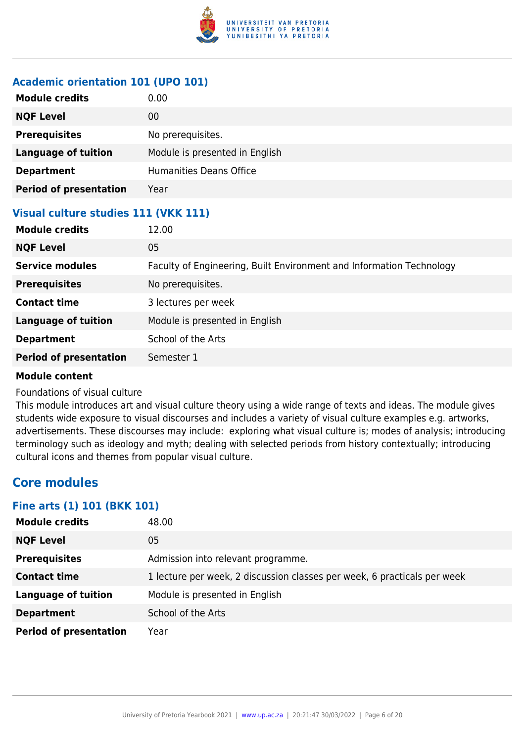

### **Academic orientation 101 (UPO 101)**

| <b>Module credits</b>                | 0.00                           |
|--------------------------------------|--------------------------------|
| <b>NQF Level</b>                     | 00                             |
| <b>Prerequisites</b>                 | No prerequisites.              |
| <b>Language of tuition</b>           | Module is presented in English |
| <b>Department</b>                    | <b>Humanities Deans Office</b> |
| <b>Period of presentation</b>        | Year                           |
| Visual culture studies 111 (VKK 111) |                                |
| <b>Module credits</b>                | 12.00                          |

| <b>NQF Level</b>              | 05                                                                   |
|-------------------------------|----------------------------------------------------------------------|
| <b>Service modules</b>        | Faculty of Engineering, Built Environment and Information Technology |
| <b>Prerequisites</b>          | No prerequisites.                                                    |
| <b>Contact time</b>           | 3 lectures per week                                                  |
| <b>Language of tuition</b>    | Module is presented in English                                       |
| <b>Department</b>             | School of the Arts                                                   |
| <b>Period of presentation</b> | Semester 1                                                           |
|                               |                                                                      |

### **Module content**

### Foundations of visual culture

This module introduces art and visual culture theory using a wide range of texts and ideas. The module gives students wide exposure to visual discourses and includes a variety of visual culture examples e.g. artworks, advertisements. These discourses may include: exploring what visual culture is; modes of analysis; introducing terminology such as ideology and myth; dealing with selected periods from history contextually; introducing cultural icons and themes from popular visual culture.

### **Core modules**

### **Fine arts (1) 101 (BKK 101)**

| <b>Module credits</b>         | 48.00                                                                    |
|-------------------------------|--------------------------------------------------------------------------|
| <b>NQF Level</b>              | 05                                                                       |
| <b>Prerequisites</b>          | Admission into relevant programme.                                       |
| <b>Contact time</b>           | 1 lecture per week, 2 discussion classes per week, 6 practicals per week |
| <b>Language of tuition</b>    | Module is presented in English                                           |
| <b>Department</b>             | School of the Arts                                                       |
| <b>Period of presentation</b> | Year                                                                     |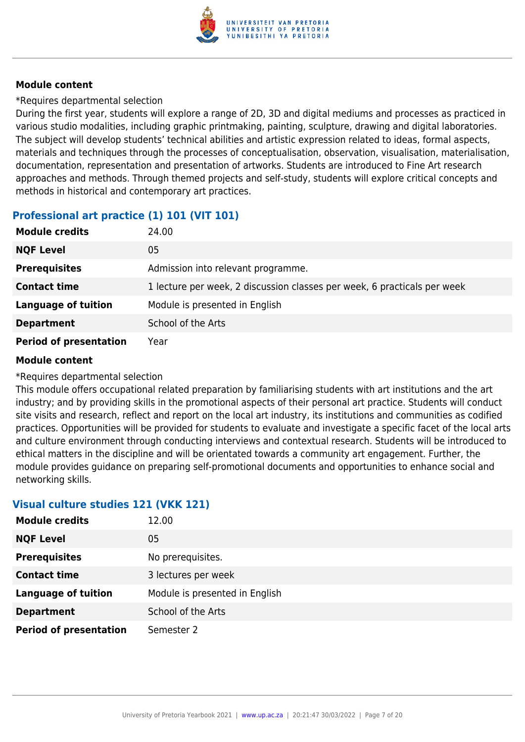

\*Requires departmental selection

During the first year, students will explore a range of 2D, 3D and digital mediums and processes as practiced in various studio modalities, including graphic printmaking, painting, sculpture, drawing and digital laboratories. The subject will develop students' technical abilities and artistic expression related to ideas, formal aspects, materials and techniques through the processes of conceptualisation, observation, visualisation, materialisation, documentation, representation and presentation of artworks. Students are introduced to Fine Art research approaches and methods. Through themed projects and self-study, students will explore critical concepts and methods in historical and contemporary art practices.

### **Professional art practice (1) 101 (VIT 101)**

| <b>Module credits</b>         | 24.00                                                                    |
|-------------------------------|--------------------------------------------------------------------------|
| <b>NQF Level</b>              | 05                                                                       |
| <b>Prerequisites</b>          | Admission into relevant programme.                                       |
| <b>Contact time</b>           | 1 lecture per week, 2 discussion classes per week, 6 practicals per week |
| <b>Language of tuition</b>    | Module is presented in English                                           |
| <b>Department</b>             | School of the Arts                                                       |
| <b>Period of presentation</b> | Year                                                                     |

### **Module content**

\*Requires departmental selection

This module offers occupational related preparation by familiarising students with art institutions and the art industry; and by providing skills in the promotional aspects of their personal art practice. Students will conduct site visits and research, reflect and report on the local art industry, its institutions and communities as codified practices. Opportunities will be provided for students to evaluate and investigate a specific facet of the local arts and culture environment through conducting interviews and contextual research. Students will be introduced to ethical matters in the discipline and will be orientated towards a community art engagement. Further, the module provides guidance on preparing self-promotional documents and opportunities to enhance social and networking skills.

### **Visual culture studies 121 (VKK 121)**

| <b>Module credits</b>         | 12.00                          |
|-------------------------------|--------------------------------|
| <b>NQF Level</b>              | 05                             |
| <b>Prerequisites</b>          | No prerequisites.              |
| <b>Contact time</b>           | 3 lectures per week            |
| <b>Language of tuition</b>    | Module is presented in English |
| <b>Department</b>             | School of the Arts             |
| <b>Period of presentation</b> | Semester 2                     |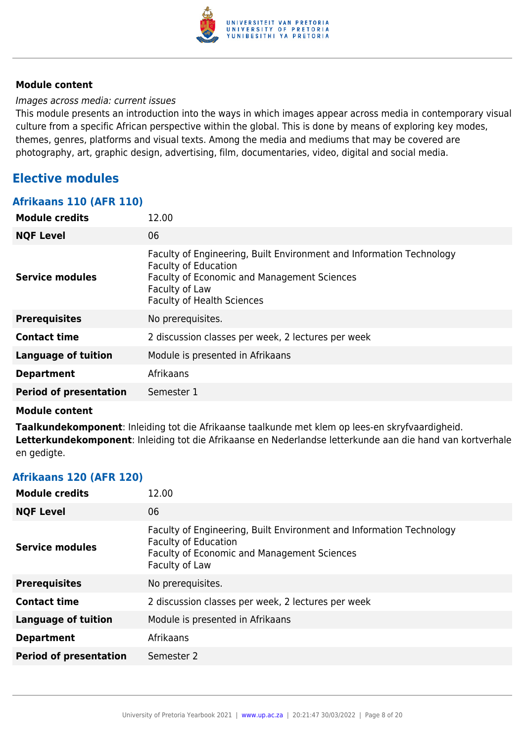

### Images across media: current issues

This module presents an introduction into the ways in which images appear across media in contemporary visual culture from a specific African perspective within the global. This is done by means of exploring key modes, themes, genres, platforms and visual texts. Among the media and mediums that may be covered are photography, art, graphic design, advertising, film, documentaries, video, digital and social media.

### **Elective modules**

### **Afrikaans 110 (AFR 110)**

| <b>Module credits</b>         | 12.00                                                                                                                                                                                                            |
|-------------------------------|------------------------------------------------------------------------------------------------------------------------------------------------------------------------------------------------------------------|
| <b>NQF Level</b>              | 06                                                                                                                                                                                                               |
| <b>Service modules</b>        | Faculty of Engineering, Built Environment and Information Technology<br><b>Faculty of Education</b><br><b>Faculty of Economic and Management Sciences</b><br>Faculty of Law<br><b>Faculty of Health Sciences</b> |
| <b>Prerequisites</b>          | No prerequisites.                                                                                                                                                                                                |
| <b>Contact time</b>           | 2 discussion classes per week, 2 lectures per week                                                                                                                                                               |
| <b>Language of tuition</b>    | Module is presented in Afrikaans                                                                                                                                                                                 |
| <b>Department</b>             | Afrikaans                                                                                                                                                                                                        |
| <b>Period of presentation</b> | Semester 1                                                                                                                                                                                                       |

#### **Module content**

**Taalkundekomponent**: Inleiding tot die Afrikaanse taalkunde met klem op lees-en skryfvaardigheid. **Letterkundekomponent**: Inleiding tot die Afrikaanse en Nederlandse letterkunde aan die hand van kortverhale en gedigte.

### **Afrikaans 120 (AFR 120)**

| <b>Module credits</b>         | 12.00                                                                                                                                                                       |
|-------------------------------|-----------------------------------------------------------------------------------------------------------------------------------------------------------------------------|
| <b>NQF Level</b>              | 06                                                                                                                                                                          |
| <b>Service modules</b>        | Faculty of Engineering, Built Environment and Information Technology<br><b>Faculty of Education</b><br><b>Faculty of Economic and Management Sciences</b><br>Faculty of Law |
| <b>Prerequisites</b>          | No prerequisites.                                                                                                                                                           |
| <b>Contact time</b>           | 2 discussion classes per week, 2 lectures per week                                                                                                                          |
| <b>Language of tuition</b>    | Module is presented in Afrikaans                                                                                                                                            |
| <b>Department</b>             | Afrikaans                                                                                                                                                                   |
| <b>Period of presentation</b> | Semester 2                                                                                                                                                                  |
|                               |                                                                                                                                                                             |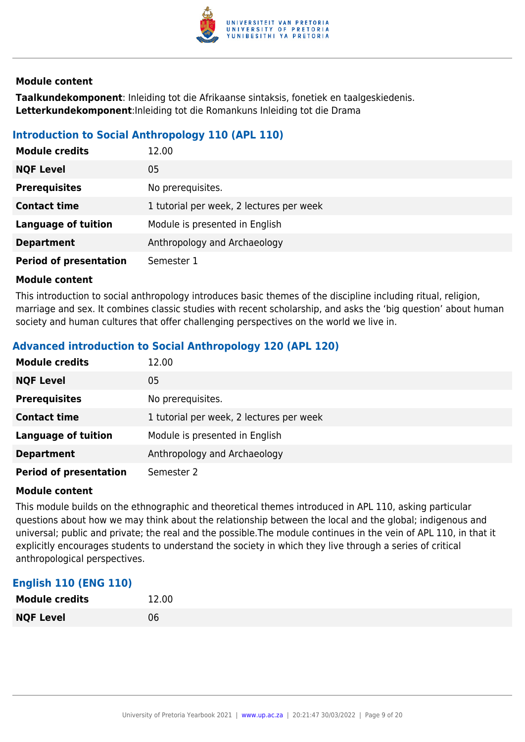

**Taalkundekomponent**: Inleiding tot die Afrikaanse sintaksis, fonetiek en taalgeskiedenis. **Letterkundekomponent**:Inleiding tot die Romankuns Inleiding tot die Drama

### **Introduction to Social Anthropology 110 (APL 110)**

| <b>Module credits</b>         | 12.00                                    |
|-------------------------------|------------------------------------------|
| <b>NQF Level</b>              | 05                                       |
| <b>Prerequisites</b>          | No prerequisites.                        |
| <b>Contact time</b>           | 1 tutorial per week, 2 lectures per week |
| <b>Language of tuition</b>    | Module is presented in English           |
| <b>Department</b>             | Anthropology and Archaeology             |
| <b>Period of presentation</b> | Semester 1                               |

#### **Module content**

This introduction to social anthropology introduces basic themes of the discipline including ritual, religion, marriage and sex. It combines classic studies with recent scholarship, and asks the 'big question' about human society and human cultures that offer challenging perspectives on the world we live in.

### **Advanced introduction to Social Anthropology 120 (APL 120)**

| <b>Module credits</b>         | 12.00                                    |
|-------------------------------|------------------------------------------|
| <b>NQF Level</b>              | 05                                       |
| <b>Prerequisites</b>          | No prerequisites.                        |
| <b>Contact time</b>           | 1 tutorial per week, 2 lectures per week |
| <b>Language of tuition</b>    | Module is presented in English           |
| <b>Department</b>             | Anthropology and Archaeology             |
| <b>Period of presentation</b> | Semester 2                               |

#### **Module content**

This module builds on the ethnographic and theoretical themes introduced in APL 110, asking particular questions about how we may think about the relationship between the local and the global; indigenous and universal; public and private; the real and the possible.The module continues in the vein of APL 110, in that it explicitly encourages students to understand the society in which they live through a series of critical anthropological perspectives.

### **English 110 (ENG 110)**

| <b>Module credits</b> | 12.00 |
|-----------------------|-------|
| <b>NQF Level</b>      | 06    |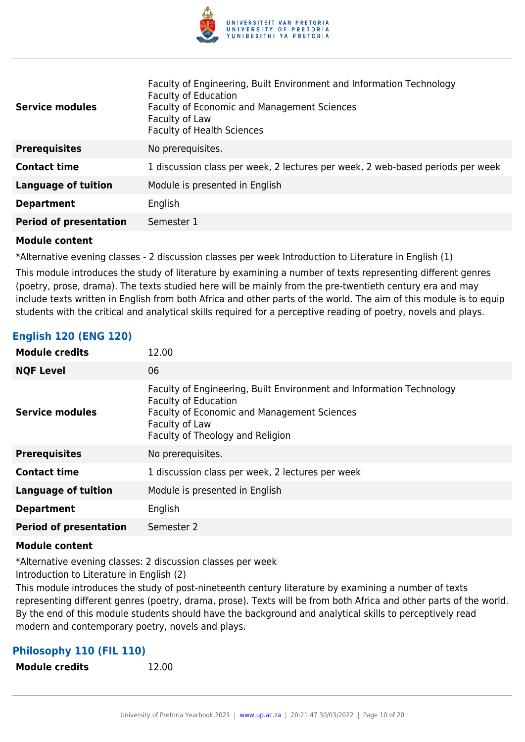

| <b>Service modules</b>        | Faculty of Engineering, Built Environment and Information Technology<br><b>Faculty of Education</b><br><b>Faculty of Economic and Management Sciences</b><br>Faculty of Law<br><b>Faculty of Health Sciences</b> |
|-------------------------------|------------------------------------------------------------------------------------------------------------------------------------------------------------------------------------------------------------------|
| <b>Prerequisites</b>          | No prerequisites.                                                                                                                                                                                                |
| <b>Contact time</b>           | 1 discussion class per week, 2 lectures per week, 2 web-based periods per week                                                                                                                                   |
| <b>Language of tuition</b>    | Module is presented in English                                                                                                                                                                                   |
| <b>Department</b>             | English                                                                                                                                                                                                          |
| <b>Period of presentation</b> | Semester 1                                                                                                                                                                                                       |

\*Alternative evening classes - 2 discussion classes per week Introduction to Literature in English (1)

This module introduces the study of literature by examining a number of texts representing different genres (poetry, prose, drama). The texts studied here will be mainly from the pre-twentieth century era and may include texts written in English from both Africa and other parts of the world. The aim of this module is to equip students with the critical and analytical skills required for a perceptive reading of poetry, novels and plays.

### **English 120 (ENG 120)**

| <b>Module credits</b>         | 12.00                                                                                                                                                                                                    |
|-------------------------------|----------------------------------------------------------------------------------------------------------------------------------------------------------------------------------------------------------|
| <b>NQF Level</b>              | 06                                                                                                                                                                                                       |
| <b>Service modules</b>        | Faculty of Engineering, Built Environment and Information Technology<br><b>Faculty of Education</b><br>Faculty of Economic and Management Sciences<br>Faculty of Law<br>Faculty of Theology and Religion |
| <b>Prerequisites</b>          | No prerequisites.                                                                                                                                                                                        |
| <b>Contact time</b>           | 1 discussion class per week, 2 lectures per week                                                                                                                                                         |
| <b>Language of tuition</b>    | Module is presented in English                                                                                                                                                                           |
| <b>Department</b>             | English                                                                                                                                                                                                  |
| <b>Period of presentation</b> | Semester 2                                                                                                                                                                                               |

#### **Module content**

\*Alternative evening classes: 2 discussion classes per week

Introduction to Literature in English (2)

This module introduces the study of post-nineteenth century literature by examining a number of texts representing different genres (poetry, drama, prose). Texts will be from both Africa and other parts of the world. By the end of this module students should have the background and analytical skills to perceptively read modern and contemporary poetry, novels and plays.

### **Philosophy 110 (FIL 110)**

**Module credits** 12.00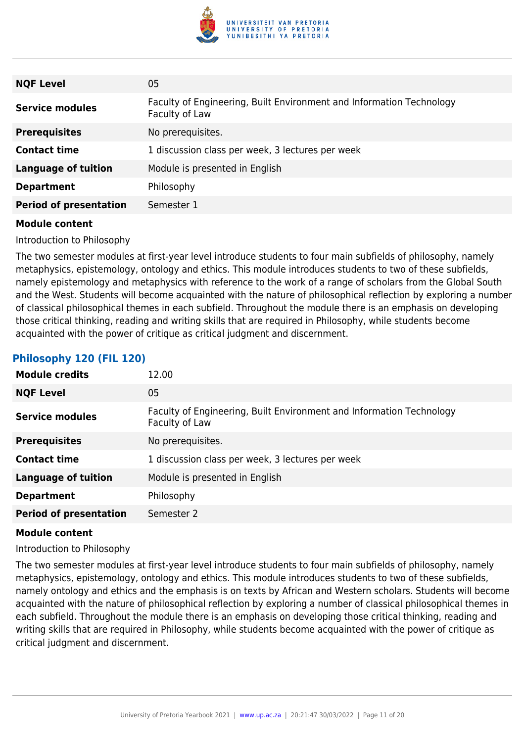

| <b>NQF Level</b>              | 05                                                                                     |
|-------------------------------|----------------------------------------------------------------------------------------|
| <b>Service modules</b>        | Faculty of Engineering, Built Environment and Information Technology<br>Faculty of Law |
| <b>Prerequisites</b>          | No prerequisites.                                                                      |
| <b>Contact time</b>           | 1 discussion class per week, 3 lectures per week                                       |
| <b>Language of tuition</b>    | Module is presented in English                                                         |
| <b>Department</b>             | Philosophy                                                                             |
| <b>Period of presentation</b> | Semester 1                                                                             |

Introduction to Philosophy

The two semester modules at first-year level introduce students to four main subfields of philosophy, namely metaphysics, epistemology, ontology and ethics. This module introduces students to two of these subfields, namely epistemology and metaphysics with reference to the work of a range of scholars from the Global South and the West. Students will become acquainted with the nature of philosophical reflection by exploring a number of classical philosophical themes in each subfield. Throughout the module there is an emphasis on developing those critical thinking, reading and writing skills that are required in Philosophy, while students become acquainted with the power of critique as critical judgment and discernment.

### **Philosophy 120 (FIL 120)**

| <b>Module credits</b>         | 12.00                                                                                  |
|-------------------------------|----------------------------------------------------------------------------------------|
| <b>NQF Level</b>              | 05                                                                                     |
| <b>Service modules</b>        | Faculty of Engineering, Built Environment and Information Technology<br>Faculty of Law |
| <b>Prerequisites</b>          | No prerequisites.                                                                      |
| <b>Contact time</b>           | 1 discussion class per week, 3 lectures per week                                       |
| <b>Language of tuition</b>    | Module is presented in English                                                         |
| <b>Department</b>             | Philosophy                                                                             |
| <b>Period of presentation</b> | Semester 2                                                                             |

#### **Module content**

Introduction to Philosophy

The two semester modules at first-year level introduce students to four main subfields of philosophy, namely metaphysics, epistemology, ontology and ethics. This module introduces students to two of these subfields, namely ontology and ethics and the emphasis is on texts by African and Western scholars. Students will become acquainted with the nature of philosophical reflection by exploring a number of classical philosophical themes in each subfield. Throughout the module there is an emphasis on developing those critical thinking, reading and writing skills that are required in Philosophy, while students become acquainted with the power of critique as critical judgment and discernment.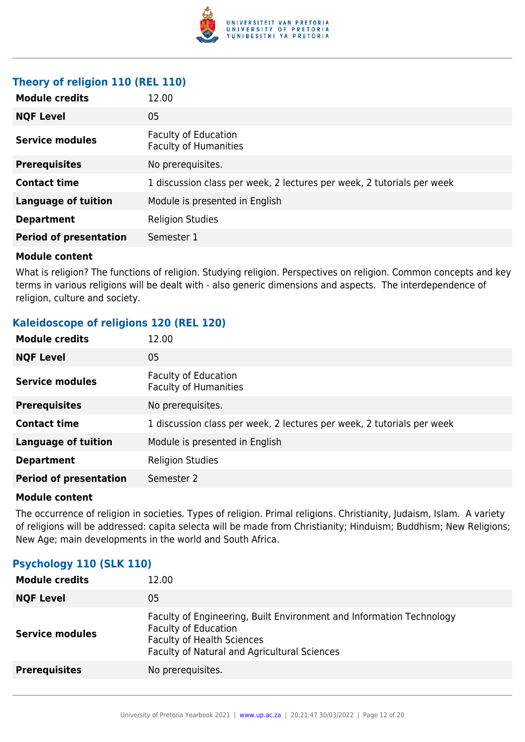

### **Theory of religion 110 (REL 110)**

| <b>Module credits</b>         | 12.00                                                                  |
|-------------------------------|------------------------------------------------------------------------|
| <b>NQF Level</b>              | 05                                                                     |
| <b>Service modules</b>        | <b>Faculty of Education</b><br><b>Faculty of Humanities</b>            |
| <b>Prerequisites</b>          | No prerequisites.                                                      |
| <b>Contact time</b>           | 1 discussion class per week, 2 lectures per week, 2 tutorials per week |
| <b>Language of tuition</b>    | Module is presented in English                                         |
| <b>Department</b>             | <b>Religion Studies</b>                                                |
| <b>Period of presentation</b> | Semester 1                                                             |

### **Module content**

What is religion? The functions of religion. Studying religion. Perspectives on religion. Common concepts and key terms in various religions will be dealt with - also generic dimensions and aspects. The interdependence of religion, culture and society.

### **Kaleidoscope of religions 120 (REL 120)**

| <b>Module credits</b>         | 12.00                                                                  |
|-------------------------------|------------------------------------------------------------------------|
| <b>NQF Level</b>              | 05                                                                     |
| <b>Service modules</b>        | <b>Faculty of Education</b><br><b>Faculty of Humanities</b>            |
| <b>Prerequisites</b>          | No prerequisites.                                                      |
| <b>Contact time</b>           | 1 discussion class per week, 2 lectures per week, 2 tutorials per week |
| <b>Language of tuition</b>    | Module is presented in English                                         |
| <b>Department</b>             | <b>Religion Studies</b>                                                |
| <b>Period of presentation</b> | Semester 2                                                             |
|                               |                                                                        |

#### **Module content**

The occurrence of religion in societies. Types of religion. Primal religions. Christianity, Judaism, Islam. A variety of religions will be addressed: capita selecta will be made from Christianity; Hinduism; Buddhism; New Religions; New Age; main developments in the world and South Africa.

### **Psychology 110 (SLK 110)**

| <b>Module credits</b>  | 12.00                                                                                                                                                                                    |
|------------------------|------------------------------------------------------------------------------------------------------------------------------------------------------------------------------------------|
| <b>NQF Level</b>       | 05                                                                                                                                                                                       |
| <b>Service modules</b> | Faculty of Engineering, Built Environment and Information Technology<br><b>Faculty of Education</b><br><b>Faculty of Health Sciences</b><br>Faculty of Natural and Agricultural Sciences |
| <b>Prerequisites</b>   | No prerequisites.                                                                                                                                                                        |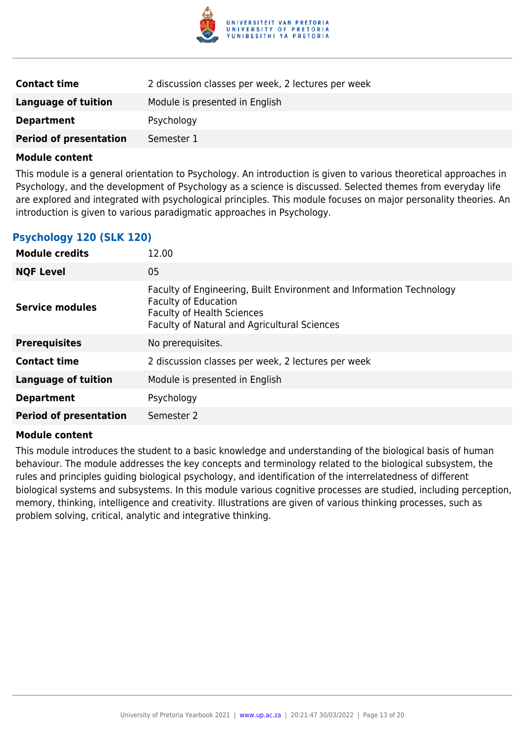

| <b>Contact time</b>           | 2 discussion classes per week, 2 lectures per week |
|-------------------------------|----------------------------------------------------|
| <b>Language of tuition</b>    | Module is presented in English                     |
| <b>Department</b>             | Psychology                                         |
| <b>Period of presentation</b> | Semester 1                                         |

This module is a general orientation to Psychology. An introduction is given to various theoretical approaches in Psychology, and the development of Psychology as a science is discussed. Selected themes from everyday life are explored and integrated with psychological principles. This module focuses on major personality theories. An introduction is given to various paradigmatic approaches in Psychology.

### **Psychology 120 (SLK 120)**

| <b>Module credits</b>         | 12.00                                                                                                                                                                                    |
|-------------------------------|------------------------------------------------------------------------------------------------------------------------------------------------------------------------------------------|
| <b>NQF Level</b>              | 05                                                                                                                                                                                       |
| Service modules               | Faculty of Engineering, Built Environment and Information Technology<br><b>Faculty of Education</b><br><b>Faculty of Health Sciences</b><br>Faculty of Natural and Agricultural Sciences |
| <b>Prerequisites</b>          | No prerequisites.                                                                                                                                                                        |
| <b>Contact time</b>           | 2 discussion classes per week, 2 lectures per week                                                                                                                                       |
| <b>Language of tuition</b>    | Module is presented in English                                                                                                                                                           |
| <b>Department</b>             | Psychology                                                                                                                                                                               |
| <b>Period of presentation</b> | Semester 2                                                                                                                                                                               |

#### **Module content**

This module introduces the student to a basic knowledge and understanding of the biological basis of human behaviour. The module addresses the key concepts and terminology related to the biological subsystem, the rules and principles guiding biological psychology, and identification of the interrelatedness of different biological systems and subsystems. In this module various cognitive processes are studied, including perception, memory, thinking, intelligence and creativity. Illustrations are given of various thinking processes, such as problem solving, critical, analytic and integrative thinking.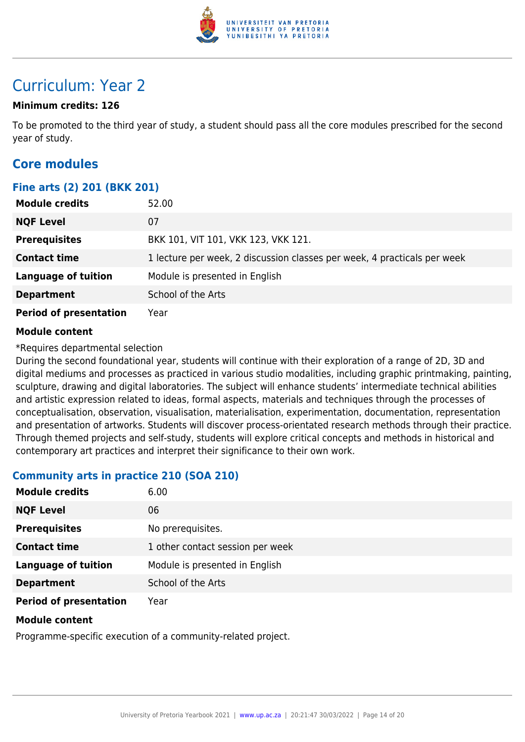

## Curriculum: Year 2

### **Minimum credits: 126**

To be promoted to the third year of study, a student should pass all the core modules prescribed for the second year of study.

### **Core modules**

### **Fine arts (2) 201 (BKK 201)**

| <b>Module credits</b>         | 52.00                                                                    |
|-------------------------------|--------------------------------------------------------------------------|
| <b>NQF Level</b>              | 07                                                                       |
| <b>Prerequisites</b>          | BKK 101, VIT 101, VKK 123, VKK 121.                                      |
| <b>Contact time</b>           | 1 lecture per week, 2 discussion classes per week, 4 practicals per week |
| <b>Language of tuition</b>    | Module is presented in English                                           |
| <b>Department</b>             | School of the Arts                                                       |
| <b>Period of presentation</b> | Year                                                                     |

### **Module content**

\*Requires departmental selection

During the second foundational year, students will continue with their exploration of a range of 2D, 3D and digital mediums and processes as practiced in various studio modalities, including graphic printmaking, painting, sculpture, drawing and digital laboratories. The subject will enhance students' intermediate technical abilities and artistic expression related to ideas, formal aspects, materials and techniques through the processes of conceptualisation, observation, visualisation, materialisation, experimentation, documentation, representation and presentation of artworks. Students will discover process-orientated research methods through their practice. Through themed projects and self-study, students will explore critical concepts and methods in historical and contemporary art practices and interpret their significance to their own work.

### **Community arts in practice 210 (SOA 210)**

| <b>Module credits</b>         | 6.00                             |
|-------------------------------|----------------------------------|
| <b>NQF Level</b>              | 06                               |
| <b>Prerequisites</b>          | No prerequisites.                |
| <b>Contact time</b>           | 1 other contact session per week |
| <b>Language of tuition</b>    | Module is presented in English   |
| <b>Department</b>             | School of the Arts               |
| <b>Period of presentation</b> | Year                             |

### **Module content**

Programme-specific execution of a community-related project.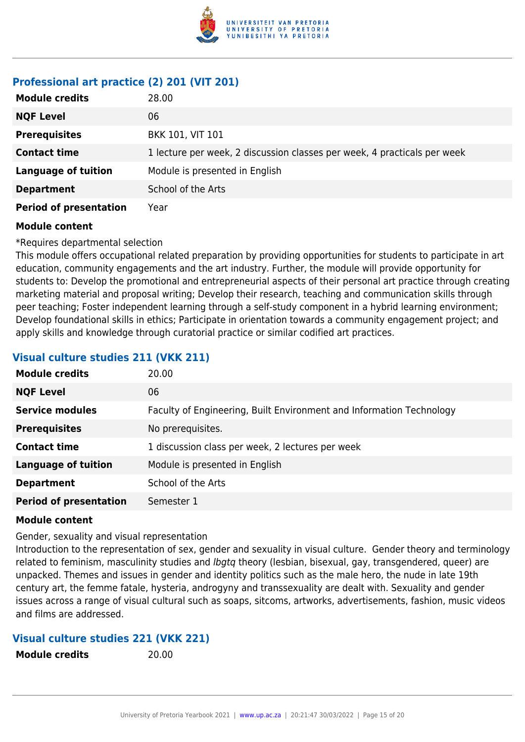

### **Professional art practice (2) 201 (VIT 201)**

| <b>Module credits</b>         | 28.00                                                                    |
|-------------------------------|--------------------------------------------------------------------------|
| <b>NQF Level</b>              | 06                                                                       |
| <b>Prerequisites</b>          | <b>BKK 101, VIT 101</b>                                                  |
| <b>Contact time</b>           | 1 lecture per week, 2 discussion classes per week, 4 practicals per week |
| <b>Language of tuition</b>    | Module is presented in English                                           |
| <b>Department</b>             | School of the Arts                                                       |
| <b>Period of presentation</b> | Year                                                                     |

### **Module content**

\*Requires departmental selection

This module offers occupational related preparation by providing opportunities for students to participate in art education, community engagements and the art industry. Further, the module will provide opportunity for students to: Develop the promotional and entrepreneurial aspects of their personal art practice through creating marketing material and proposal writing; Develop their research, teaching and communication skills through peer teaching; Foster independent learning through a self-study component in a hybrid learning environment; Develop foundational skills in ethics; Participate in orientation towards a community engagement project; and apply skills and knowledge through curatorial practice or similar codified art practices.

### **Visual culture studies 211 (VKK 211)**

| <b>Module credits</b>         | 20.00                                                                |
|-------------------------------|----------------------------------------------------------------------|
| <b>NQF Level</b>              | 06                                                                   |
| <b>Service modules</b>        | Faculty of Engineering, Built Environment and Information Technology |
| <b>Prerequisites</b>          | No prerequisites.                                                    |
| <b>Contact time</b>           | 1 discussion class per week, 2 lectures per week                     |
| <b>Language of tuition</b>    | Module is presented in English                                       |
| <b>Department</b>             | School of the Arts                                                   |
| <b>Period of presentation</b> | Semester 1                                                           |

#### **Module content**

Gender, sexuality and visual representation

Introduction to the representation of sex, gender and sexuality in visual culture. Gender theory and terminology related to feminism, masculinity studies and *lbgtg* theory (lesbian, bisexual, gay, transgendered, queer) are unpacked. Themes and issues in gender and identity politics such as the male hero, the nude in late 19th century art, the femme fatale, hysteria, androgyny and transsexuality are dealt with. Sexuality and gender issues across a range of visual cultural such as soaps, sitcoms, artworks, advertisements, fashion, music videos and films are addressed.

### **Visual culture studies 221 (VKK 221)**

**Module credits** 20.00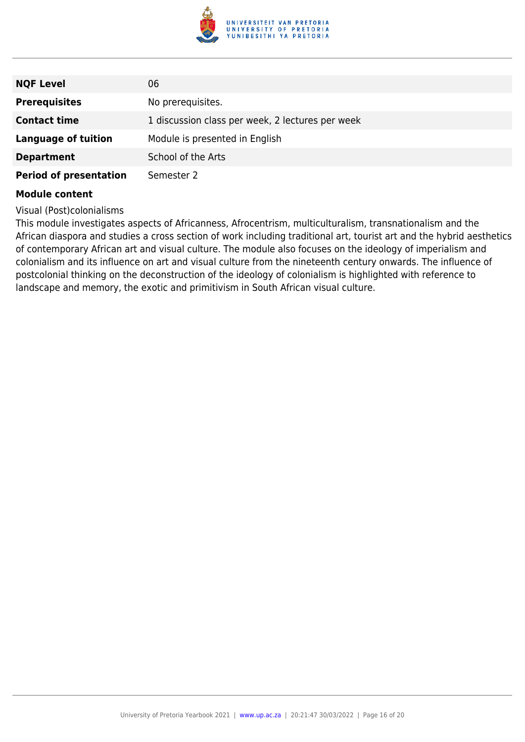

| <b>NQF Level</b>              | 06                                               |
|-------------------------------|--------------------------------------------------|
| <b>Prerequisites</b>          | No prerequisites.                                |
| <b>Contact time</b>           | 1 discussion class per week, 2 lectures per week |
| <b>Language of tuition</b>    | Module is presented in English                   |
| <b>Department</b>             | School of the Arts                               |
| <b>Period of presentation</b> | Semester 2                                       |

Visual (Post)colonialisms

This module investigates aspects of Africanness, Afrocentrism, multiculturalism, transnationalism and the African diaspora and studies a cross section of work including traditional art, tourist art and the hybrid aesthetics of contemporary African art and visual culture. The module also focuses on the ideology of imperialism and colonialism and its influence on art and visual culture from the nineteenth century onwards. The influence of postcolonial thinking on the deconstruction of the ideology of colonialism is highlighted with reference to landscape and memory, the exotic and primitivism in South African visual culture.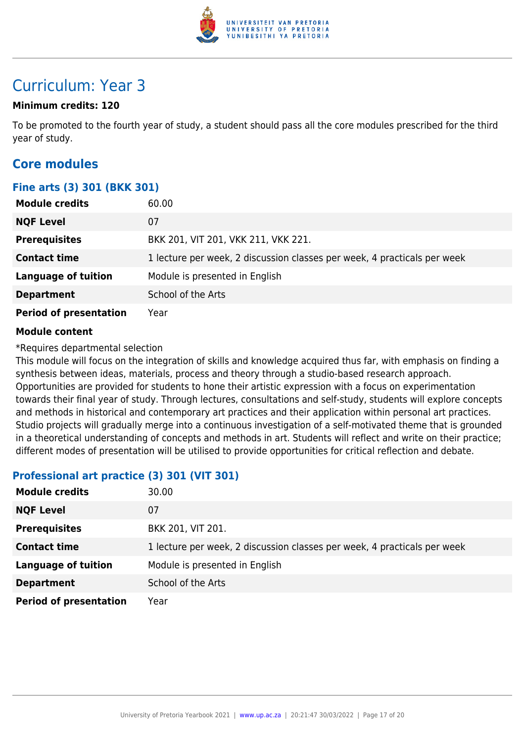

## Curriculum: Year 3

### **Minimum credits: 120**

To be promoted to the fourth year of study, a student should pass all the core modules prescribed for the third year of study.

### **Core modules**

### **Fine arts (3) 301 (BKK 301)**

| <b>Module credits</b>         | 60.00                                                                    |
|-------------------------------|--------------------------------------------------------------------------|
| <b>NQF Level</b>              | 07                                                                       |
| <b>Prerequisites</b>          | BKK 201, VIT 201, VKK 211, VKK 221.                                      |
| <b>Contact time</b>           | 1 lecture per week, 2 discussion classes per week, 4 practicals per week |
| <b>Language of tuition</b>    | Module is presented in English                                           |
| <b>Department</b>             | School of the Arts                                                       |
| <b>Period of presentation</b> | Year                                                                     |

### **Module content**

\*Requires departmental selection

This module will focus on the integration of skills and knowledge acquired thus far, with emphasis on finding a synthesis between ideas, materials, process and theory through a studio-based research approach. Opportunities are provided for students to hone their artistic expression with a focus on experimentation towards their final year of study. Through lectures, consultations and self-study, students will explore concepts and methods in historical and contemporary art practices and their application within personal art practices. Studio projects will gradually merge into a continuous investigation of a self-motivated theme that is grounded in a theoretical understanding of concepts and methods in art. Students will reflect and write on their practice; different modes of presentation will be utilised to provide opportunities for critical reflection and debate.

### **Professional art practice (3) 301 (VIT 301)**

| <b>Module credits</b>         | 30.00                                                                    |
|-------------------------------|--------------------------------------------------------------------------|
| <b>NQF Level</b>              | 07                                                                       |
| <b>Prerequisites</b>          | BKK 201, VIT 201.                                                        |
| <b>Contact time</b>           | 1 lecture per week, 2 discussion classes per week, 4 practicals per week |
| <b>Language of tuition</b>    | Module is presented in English                                           |
| <b>Department</b>             | School of the Arts                                                       |
| <b>Period of presentation</b> | Year                                                                     |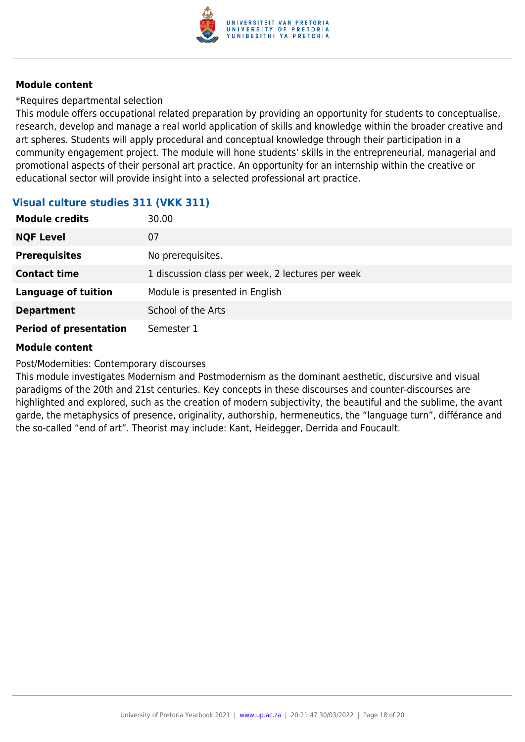

\*Requires departmental selection

This module offers occupational related preparation by providing an opportunity for students to conceptualise, research, develop and manage a real world application of skills and knowledge within the broader creative and art spheres. Students will apply procedural and conceptual knowledge through their participation in a community engagement project. The module will hone students' skills in the entrepreneurial, managerial and promotional aspects of their personal art practice. An opportunity for an internship within the creative or educational sector will provide insight into a selected professional art practice.

### **Visual culture studies 311 (VKK 311)**

| <b>Module credits</b>         | 30.00                                            |
|-------------------------------|--------------------------------------------------|
| <b>NQF Level</b>              | 07                                               |
| <b>Prerequisites</b>          | No prerequisites.                                |
| <b>Contact time</b>           | 1 discussion class per week, 2 lectures per week |
| <b>Language of tuition</b>    | Module is presented in English                   |
| <b>Department</b>             | School of the Arts                               |
| <b>Period of presentation</b> | Semester 1                                       |

### **Module content**

Post/Modernities: Contemporary discourses

This module investigates Modernism and Postmodernism as the dominant aesthetic, discursive and visual paradigms of the 20th and 21st centuries. Key concepts in these discourses and counter-discourses are highlighted and explored, such as the creation of modern subjectivity, the beautiful and the sublime, the avant garde, the metaphysics of presence, originality, authorship, hermeneutics, the "language turn", différance and the so-called "end of art". Theorist may include: Kant, Heidegger, Derrida and Foucault.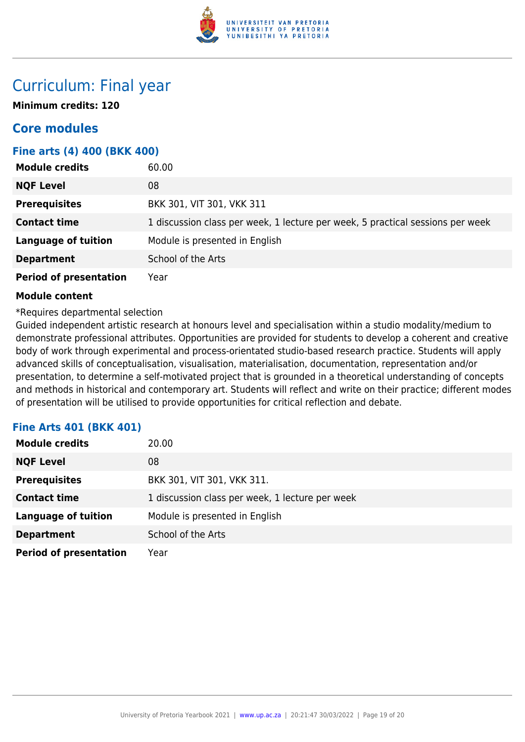

## Curriculum: Final year

**Minimum credits: 120**

### **Core modules**

### **Fine arts (4) 400 (BKK 400)**

| <b>Module credits</b>         | 60.00                                                                          |
|-------------------------------|--------------------------------------------------------------------------------|
| <b>NQF Level</b>              | 08                                                                             |
| <b>Prerequisites</b>          | BKK 301, VIT 301, VKK 311                                                      |
| <b>Contact time</b>           | 1 discussion class per week, 1 lecture per week, 5 practical sessions per week |
| <b>Language of tuition</b>    | Module is presented in English                                                 |
| <b>Department</b>             | School of the Arts                                                             |
| <b>Period of presentation</b> | Year                                                                           |

### **Module content**

### \*Requires departmental selection

Guided independent artistic research at honours level and specialisation within a studio modality/medium to demonstrate professional attributes. Opportunities are provided for students to develop a coherent and creative body of work through experimental and process-orientated studio-based research practice. Students will apply advanced skills of conceptualisation, visualisation, materialisation, documentation, representation and/or presentation, to determine a self-motivated project that is grounded in a theoretical understanding of concepts and methods in historical and contemporary art. Students will reflect and write on their practice; different modes of presentation will be utilised to provide opportunities for critical reflection and debate.

### **Fine Arts 401 (BKK 401)**

| <b>Module credits</b>         | 20.00                                           |
|-------------------------------|-------------------------------------------------|
| <b>NQF Level</b>              | 08                                              |
| <b>Prerequisites</b>          | BKK 301, VIT 301, VKK 311.                      |
| <b>Contact time</b>           | 1 discussion class per week, 1 lecture per week |
| <b>Language of tuition</b>    | Module is presented in English                  |
| <b>Department</b>             | School of the Arts                              |
| <b>Period of presentation</b> | Year                                            |